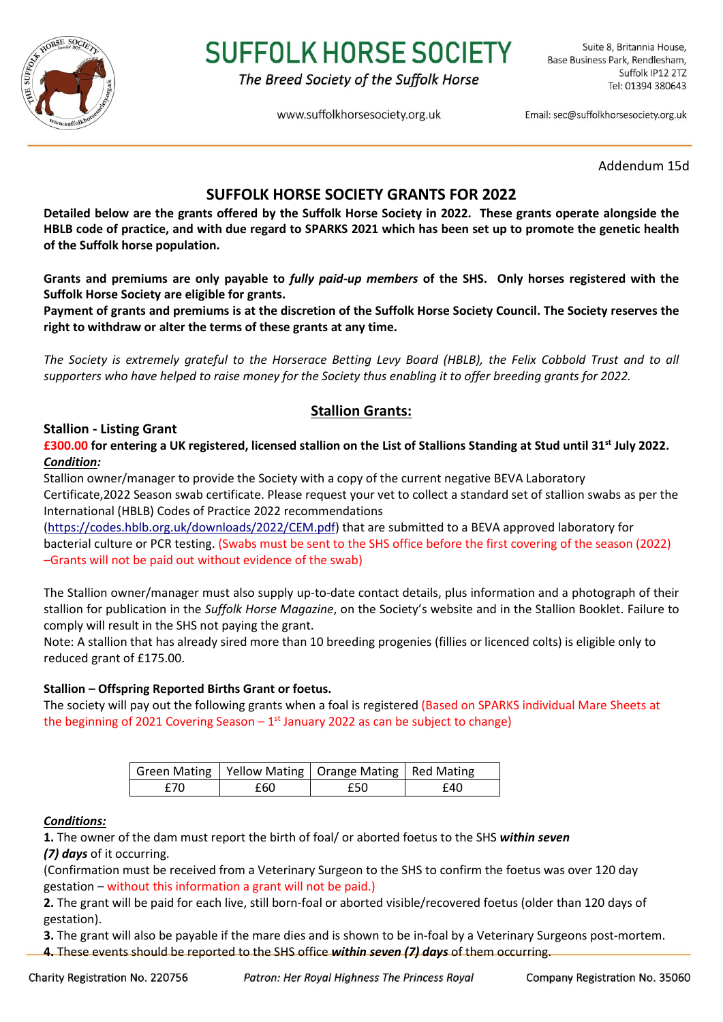

# **SUFFOLK HORSE SOCIETY**

The Breed Society of the Suffolk Horse

www.suffolkhorsesociety.org.uk

Email: sec@suffolkhorsesociety.org.uk

Addendum 15d

# **SUFFOLK HORSE SOCIETY GRANTS FOR 2022**

**Detailed below are the grants offered by the Suffolk Horse Society in 2022. These grants operate alongside the HBLB code of practice, and with due regard to SPARKS 2021 which has been set up to promote the genetic health of the Suffolk horse population.** 

**Grants and premiums are only payable to** *fully paid-up members* **of the SHS. Only horses registered with the Suffolk Horse Society are eligible for grants.** 

**Payment of grants and premiums is at the discretion of the Suffolk Horse Society Council. The Society reserves the right to withdraw or alter the terms of these grants at any time.**

*The Society is extremely grateful to the Horserace Betting Levy Board (HBLB), the Felix Cobbold Trust and to all supporters who have helped to raise money for the Society thus enabling it to offer breeding grants for 2022.*

# **Stallion Grants:**

## **Stallion - Listing Grant**

**£300.00 for entering a UK registered, licensed stallion on the List of Stallions Standing at Stud until 31st July 2022.**  *Condition:*

Stallion owner/manager to provide the Society with a copy of the current negative BEVA Laboratory Certificate,2022 Season swab certificate. Please request your vet to collect a standard set of stallion swabs as per the International (HBLB) Codes of Practice 2022 recommendations

[\(https://codes.hblb.org.uk/downloads/2022/CEM.pdf\)](https://codes.hblb.org.uk/downloads/2022/CEM.pdf) that are submitted to a BEVA approved laboratory for bacterial culture or PCR testing. (Swabs must be sent to the SHS office before the first covering of the season (2022) –Grants will not be paid out without evidence of the swab)

The Stallion owner/manager must also supply up-to-date contact details, plus information and a photograph of their stallion for publication in the *Suffolk Horse Magazine*, on the Society's website and in the Stallion Booklet. Failure to comply will result in the SHS not paying the grant.

Note: A stallion that has already sired more than 10 breeding progenies (fillies or licenced colts) is eligible only to reduced grant of £175.00.

## **Stallion – Offspring Reported Births Grant or foetus.**

The society will pay out the following grants when a foal is registered (Based on SPARKS individual Mare Sheets at the beginning of 2021 Covering Season  $-1<sup>st</sup>$  January 2022 as can be subject to change)

|     |     | Green Mating   Yellow Mating   Orange Mating   Red Mating |     |
|-----|-----|-----------------------------------------------------------|-----|
| f70 | £60 | £50                                                       | £40 |

## *Conditions:*

**1.** The owner of the dam must report the birth of foal/ or aborted foetus to the SHS *within seven (7) days* of it occurring.

(Confirmation must be received from a Veterinary Surgeon to the SHS to confirm the foetus was over 120 day gestation – without this information a grant will not be paid.)

**2.** The grant will be paid for each live, still born-foal or aborted visible/recovered foetus (older than 120 days of gestation).

**3.** The grant will also be payable if the mare dies and is shown to be in-foal by a Veterinary Surgeons post-mortem.

**4.** These events should be reported to the SHS office *within seven (7) days* of them occurring.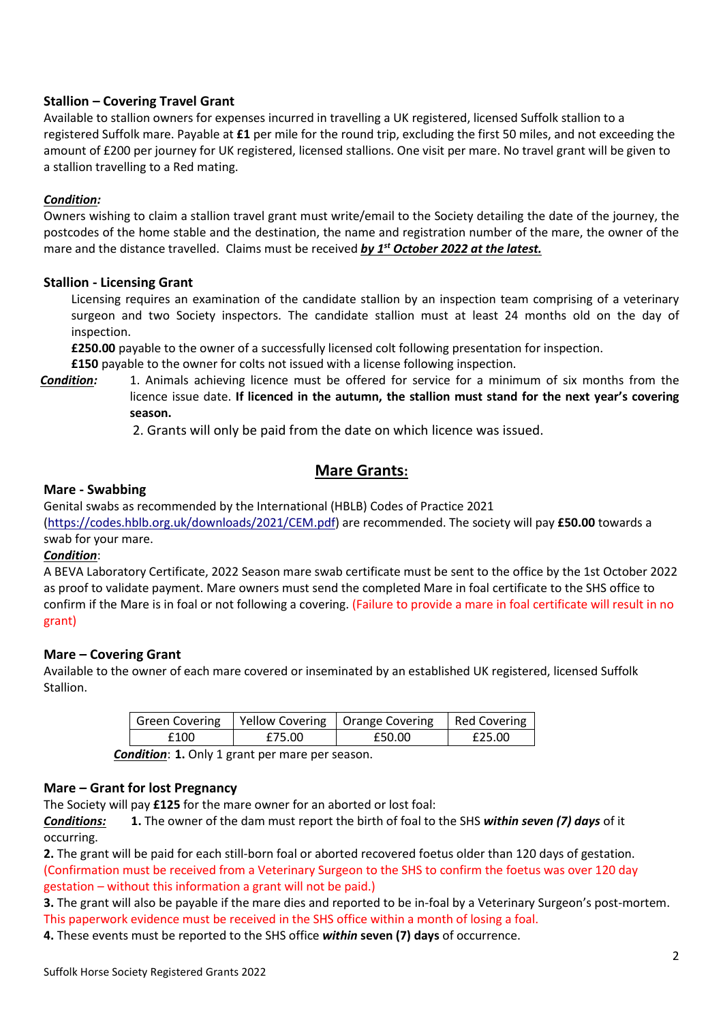## **Stallion – Covering Travel Grant**

Available to stallion owners for expenses incurred in travelling a UK registered, licensed Suffolk stallion to a registered Suffolk mare. Payable at **£1** per mile for the round trip, excluding the first 50 miles, and not exceeding the amount of £200 per journey for UK registered, licensed stallions. One visit per mare. No travel grant will be given to a stallion travelling to a Red mating.

## *Condition:*

Owners wishing to claim a stallion travel grant must write/email to the Society detailing the date of the journey, the postcodes of the home stable and the destination, the name and registration number of the mare, the owner of the mare and the distance travelled. Claims must be received *by 1st October 2022 at the latest.*

#### **Stallion - Licensing Grant**

Licensing requires an examination of the candidate stallion by an inspection team comprising of a veterinary surgeon and two Society inspectors. The candidate stallion must at least 24 months old on the day of inspection.

**£250.00** payable to the owner of a successfully licensed colt following presentation for inspection.

**£150** payable to the owner for colts not issued with a license following inspection.

*Condition:* 1. Animals achieving licence must be offered for service for a minimum of six months from the licence issue date. **If licenced in the autumn, the stallion must stand for the next year's covering season.** 

2. Grants will only be paid from the date on which licence was issued.

# **Mare Grants:**

#### **Mare - Swabbing**

Genital swabs as recommended by the International (HBLB) Codes of Practice 2021

[\(https://codes.hblb.org.uk/downloads/2021/CEM.pdf\)](https://codes.hblb.org.uk/downloads/2021/CEM.pdf) are recommended. The society will pay **£50.00** towards a swab for your mare.

## *Condition*:

A BEVA Laboratory Certificate, 2022 Season mare swab certificate must be sent to the office by the 1st October 2022 as proof to validate payment. Mare owners must send the completed Mare in foal certificate to the SHS office to confirm if the Mare is in foal or not following a covering. (Failure to provide a mare in foal certificate will result in no grant)

#### **Mare – Covering Grant**

Available to the owner of each mare covered or inseminated by an established UK registered, licensed Suffolk Stallion.

|      |        | Green Covering   Yellow Covering   Orange Covering   Red Covering |        |
|------|--------|-------------------------------------------------------------------|--------|
| £100 | £75.00 | £50.00                                                            | £25.00 |

*Condition*: **1.** Only 1 grant per mare per season.

#### **Mare – Grant for lost Pregnancy**

The Society will pay **£125** for the mare owner for an aborted or lost foal:

*Conditions:* **1.** The owner of the dam must report the birth of foal to the SHS *within seven (7) days* of it occurring.

**2.** The grant will be paid for each still-born foal or aborted recovered foetus older than 120 days of gestation. (Confirmation must be received from a Veterinary Surgeon to the SHS to confirm the foetus was over 120 day gestation – without this information a grant will not be paid.)

**3.** The grant will also be payable if the mare dies and reported to be in-foal by a Veterinary Surgeon's post-mortem. This paperwork evidence must be received in the SHS office within a month of losing a foal.

**4.** These events must be reported to the SHS office *within* **seven (7) days** of occurrence.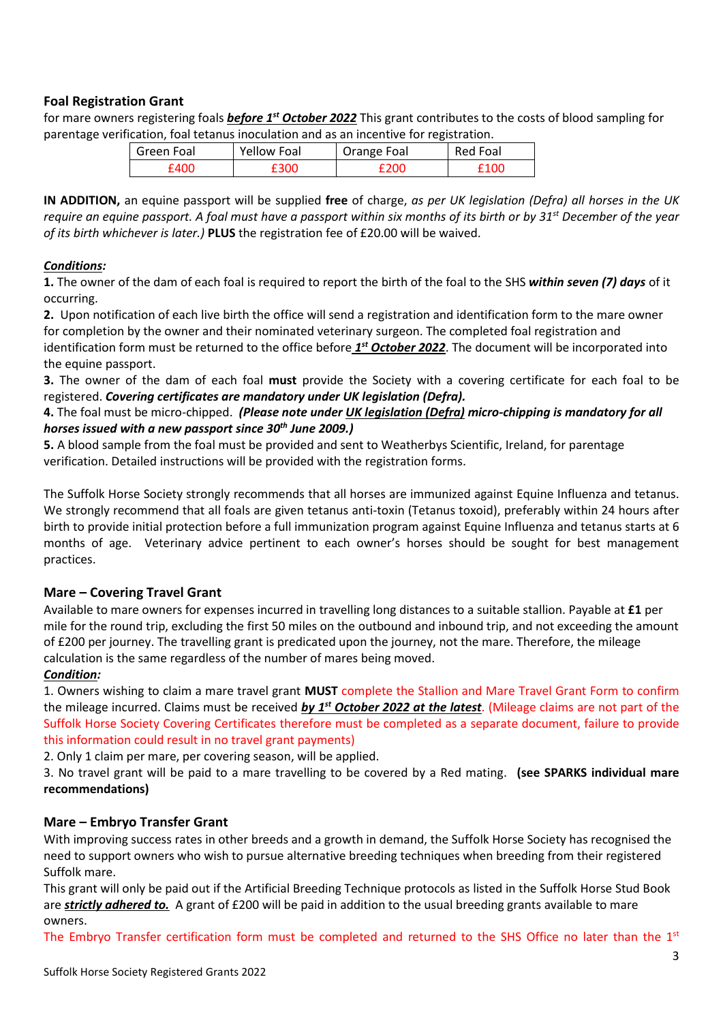## **Foal Registration Grant**

for mare owners registering foals *before 1st October 2022* This grant contributes to the costs of blood sampling for parentage verification, foal tetanus inoculation and as an incentive for registration.

| Green Foal | <b>Yellow Foal</b> | Orange Foal | Red Foal |
|------------|--------------------|-------------|----------|
| 1400       |                    | 200 E       | 100      |

**IN ADDITION,** an equine passport will be supplied **free** of charge, *as per UK legislation (Defra) all horses in the UK require an equine passport. A foal must have a passport within six months of its birth or by 31st December of the year of its birth whichever is later.)* **PLUS** the registration fee of £20.00 will be waived.

## *Conditions:*

**1.** The owner of the dam of each foal is required to report the birth of the foal to the SHS *within seven (7) days* of it occurring.

**2.** Upon notification of each live birth the office will send a registration and identification form to the mare owner for completion by the owner and their nominated veterinary surgeon. The completed foal registration and identification form must be returned to the office before *1<sup>st</sup> October 2022*. The document will be incorporated into the equine passport.

**3.** The owner of the dam of each foal **must** provide the Society with a covering certificate for each foal to be registered. *Covering certificates are mandatory under UK legislation (Defra).* 

## **4.** The foal must be micro-chipped. *(Please note under UK legislation (Defra) micro-chipping is mandatory for all horses issued with a new passport since 30th June 2009.)*

**5.** A blood sample from the foal must be provided and sent to Weatherbys Scientific, Ireland, for parentage verification. Detailed instructions will be provided with the registration forms.

The Suffolk Horse Society strongly recommends that all horses are immunized against Equine Influenza and tetanus. We strongly recommend that all foals are given tetanus anti-toxin (Tetanus toxoid), preferably within 24 hours after birth to provide initial protection before a full immunization program against Equine Influenza and tetanus starts at 6 months of age. Veterinary advice pertinent to each owner's horses should be sought for best management practices.

## **Mare – Covering Travel Grant**

Available to mare owners for expenses incurred in travelling long distances to a suitable stallion. Payable at **£1** per mile for the round trip, excluding the first 50 miles on the outbound and inbound trip, and not exceeding the amount of £200 per journey. The travelling grant is predicated upon the journey, not the mare. Therefore, the mileage calculation is the same regardless of the number of mares being moved.

## *Condition:*

1. Owners wishing to claim a mare travel grant **MUST** complete the Stallion and Mare Travel Grant Form to confirm the mileage incurred. Claims must be received *by 1st October 2022 at the latest*. (Mileage claims are not part of the Suffolk Horse Society Covering Certificates therefore must be completed as a separate document, failure to provide this information could result in no travel grant payments)

2. Only 1 claim per mare, per covering season, will be applied.

3. No travel grant will be paid to a mare travelling to be covered by a Red mating. **(see SPARKS individual mare recommendations)**

## **Mare – Embryo Transfer Grant**

With improving success rates in other breeds and a growth in demand, the Suffolk Horse Society has recognised the need to support owners who wish to pursue alternative breeding techniques when breeding from their registered Suffolk mare.

This grant will only be paid out if the Artificial Breeding Technique protocols as listed in the Suffolk Horse Stud Book are *strictly adhered to.* A grant of £200 will be paid in addition to the usual breeding grants available to mare owners.

The Embryo Transfer certification form must be completed and returned to the SHS Office no later than the 1st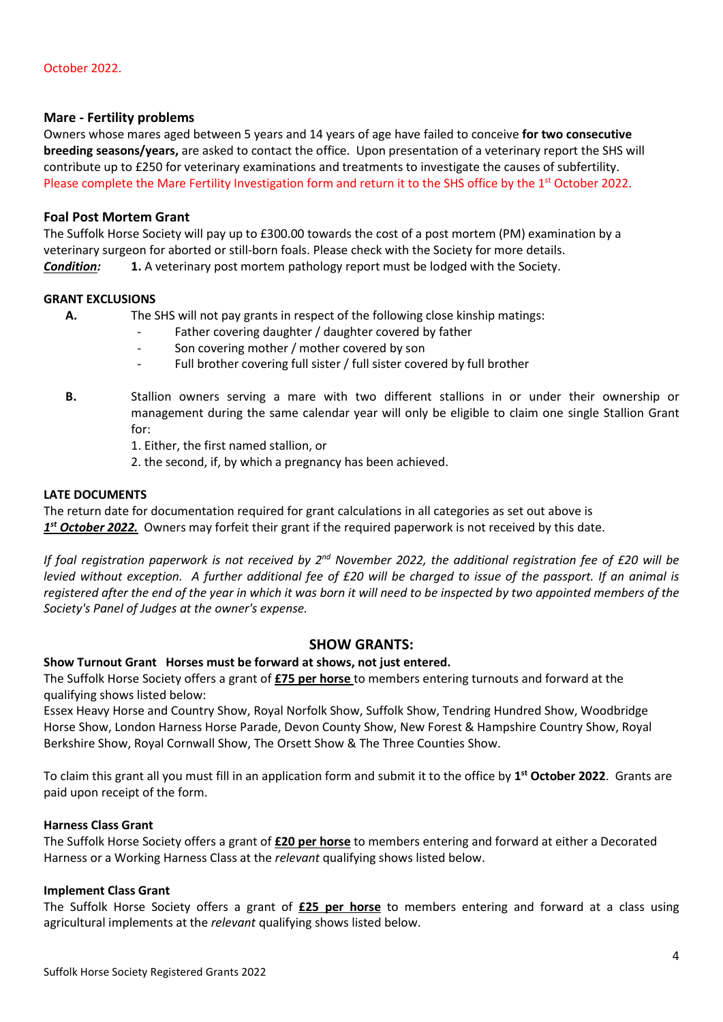## **Mare - Fertility problems**

Owners whose mares aged between 5 years and 14 years of age have failed to conceive **for two consecutive breeding seasons/years,** are asked to contact the office. Upon presentation of a veterinary report the SHS will contribute up to £250 for veterinary examinations and treatments to investigate the causes of subfertility. Please complete the Mare Fertility Investigation form and return it to the SHS office by the 1<sup>st</sup> October 2022.

## **Foal Post Mortem Grant**

The Suffolk Horse Society will pay up to £300.00 towards the cost of a post mortem (PM) examination by a veterinary surgeon for aborted or still-born foals. Please check with the Society for more details. **Condition: 1.** A veterinary post mortem pathology report must be lodged with the Society.

#### **GRANT EXCLUSIONS**

**A.** The SHS will not pay grants in respect of the following close kinship matings:

- Father covering daughter / daughter covered by father
- Son covering mother / mother covered by son
- Full brother covering full sister / full sister covered by full brother
- **B.** Stallion owners serving a mare with two different stallions in or under their ownership or management during the same calendar year will only be eligible to claim one single Stallion Grant for:
	- 1. Either, the first named stallion, or
	- 2. the second, if, by which a pregnancy has been achieved.

#### **LATE DOCUMENTS**

The return date for documentation required for grant calculations in all categories as set out above is *1 st October 2022.* Owners may forfeit their grant if the required paperwork is not received by this date.

If foal registration paperwork is not received by 2<sup>nd</sup> November 2022, the additional registration fee of £20 will be *levied without exception. A further additional fee of £20 will be charged to issue of the passport. If an animal is registered after the end of the year in which it was born it will need to be inspected by two appointed members of the Society's Panel of Judges at the owner's expense.*

#### **SHOW GRANTS:**

#### **Show Turnout Grant Horses must be forward at shows, not just entered.**

The Suffolk Horse Society offers a grant of **£75 per horse** to members entering turnouts and forward at the qualifying shows listed below:

Essex Heavy Horse and Country Show, Royal Norfolk Show, Suffolk Show, Tendring Hundred Show, Woodbridge Horse Show, London Harness Horse Parade, Devon County Show, New Forest & Hampshire Country Show, Royal Berkshire Show, Royal Cornwall Show, The Orsett Show & The Three Counties Show.

To claim this grant all you must fill in an application form and submit it to the office by **1 st October 2022**. Grants are paid upon receipt of the form.

#### **Harness Class Grant**

The Suffolk Horse Society offers a grant of **£20 per horse** to members entering and forward at either a Decorated Harness or a Working Harness Class at the *relevant* qualifying shows listed below.

### **Implement Class Grant**

The Suffolk Horse Society offers a grant of **£25 per horse** to members entering and forward at a class using agricultural implements at the *relevant* qualifying shows listed below.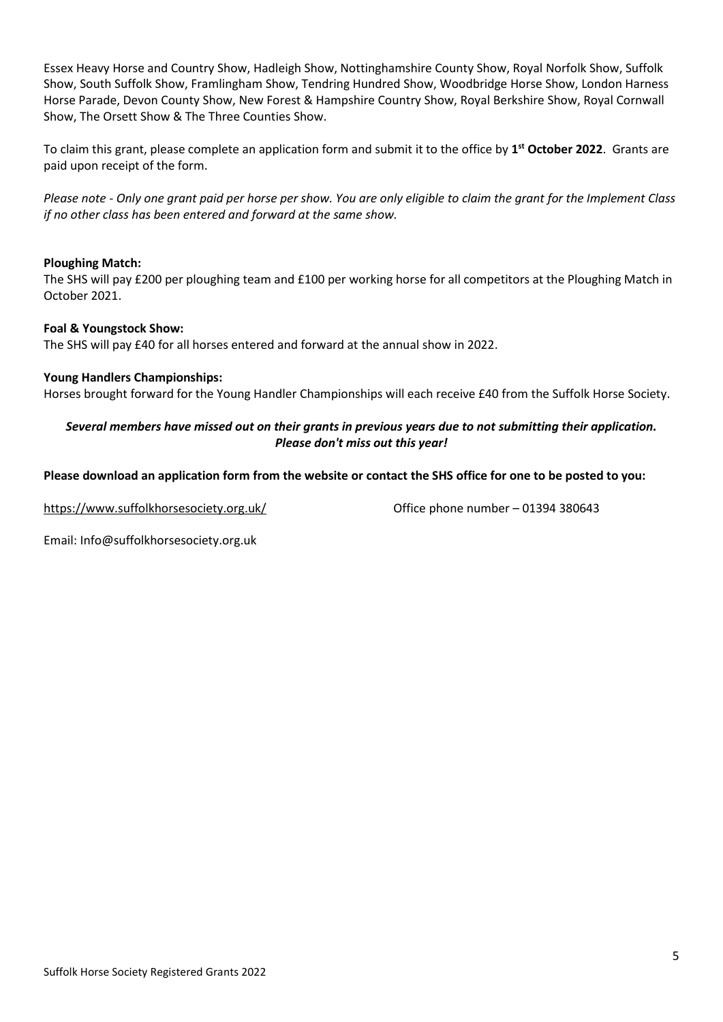Essex Heavy Horse and Country Show, Hadleigh Show, Nottinghamshire County Show, Royal Norfolk Show, Suffolk Show, South Suffolk Show, Framlingham Show, Tendring Hundred Show, Woodbridge Horse Show, London Harness Horse Parade, Devon County Show, New Forest & Hampshire Country Show, Royal Berkshire Show, Royal Cornwall Show, The Orsett Show & The Three Counties Show.

To claim this grant, please complete an application form and submit it to the office by **1 st October 2022**. Grants are paid upon receipt of the form.

*Please note - Only one grant paid per horse per show. You are only eligible to claim the grant for the Implement Class if no other class has been entered and forward at the same show.*

## **Ploughing Match:**

The SHS will pay £200 per ploughing team and £100 per working horse for all competitors at the Ploughing Match in October 2021.

## **Foal & Youngstock Show:**

The SHS will pay £40 for all horses entered and forward at the annual show in 2022.

#### **Young Handlers Championships:**

Horses brought forward for the Young Handler Championships will each receive £40 from the Suffolk Horse Society.

## *Several members have missed out on their grants in previous years due to not submitting their application. Please don't miss out this year!*

## **Please download an application form from the website or contact the SHS office for one to be posted to you:**

<https://www.suffolkhorsesociety.org.uk/> Office phone number – 01394 380643

Email: Info@suffolkhorsesociety.org.uk